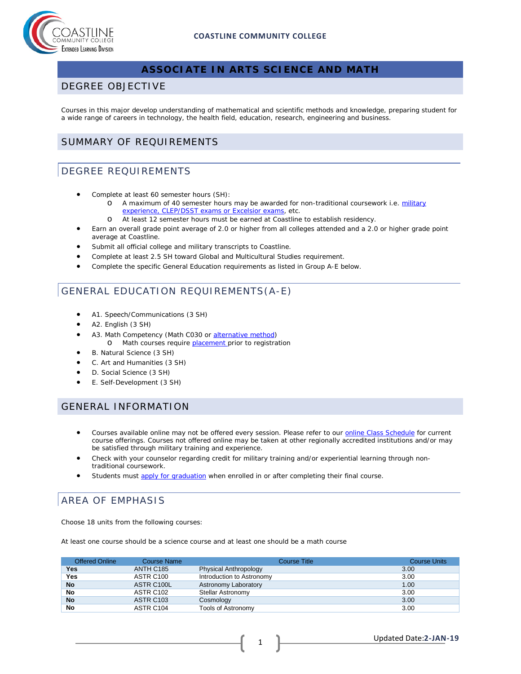

## **ASSOCIATE IN ARTS SCIENCE AND MATH**

#### DEGREE OBJECTIVE

Courses in this major develop understanding of mathematical and scientific methods and knowledge, preparing student for a wide range of careers in technology, the health field, education, research, engineering and business.

#### SUMMARY OF REQUIREMENTS

#### DEGREE REQUIREMENTS

- Complete at least 60 semester hours (SH):
	- o A maximum of 40 semester hours may be awarded for non-traditional coursework i.e. military [experience, CLEP/DSST exams or Excelsior exams,](http://military.coastline.edu/page.cfm?LinkID=1473) etc.
	- o At least 12 semester hours must be earned at Coastline to establish residency.
- Earn an overall grade point average of 2.0 or higher from all colleges attended and a 2.0 or higher grade point average at Coastline.
- Submit all official college and military transcripts to Coastline.
- Complete at least 2.5 SH toward Global and Multicultural Studies requirement.
- Complete the specific General Education requirements as listed in Group A-E below.

## GENERAL EDUCATION REQUIREMENTS(A-E)

- A1. Speech/Communications (3 SH)
- A2. English (3 SH)
- A3. Math Competency (Math C030 or [alternative method\)](http://military.coastline.edu/forms/page.cfm?LinkID=1446) o Math courses require [placement p](http://military.coastline.edu/forms/page.cfm?LinkID=1446)rior to registration
- B. Natural Science (3 SH)
- C. Art and Humanities (3 SH)
- D. Social Science (3 SH)
- E. Self-Development (3 SH)

#### GENERAL INFORMATION

- Courses available online may not be offered every session. Please refer to our **online Class Schedule** for current course offerings. Courses not offered online may be taken at other regionally accredited institutions and/or may be satisfied through military training and experience.
- Check with your counselor regarding credit for military training and/or experiential learning through nontraditional coursework.
- Students must [apply for graduation](http://military.coastline.edu/active-duty/page.cfm?LinkID=1437) when enrolled in or after completing their final course.

# AREA OF EMPHASIS

Choose 18 units from the following courses:

At least one course should be a science course and at least one should be a math course

| <b>Offered Online</b> | <b>Course Name</b>    | <b>Course Title</b>          | <b>Course Units</b> |
|-----------------------|-----------------------|------------------------------|---------------------|
| <b>Yes</b>            | ANTH C185             | <b>Physical Anthropology</b> | 3.00                |
| <b>Yes</b>            | ASTR C100             | Introduction to Astronomy    | 3.00                |
| <b>No</b>             | ASTR C100L            | Astronomy Laboratory         | 1.00                |
| No                    | ASTR C102             | Stellar Astronomy            | 3.00                |
| <b>No</b>             | ASTR C <sub>103</sub> | Cosmology                    | 3.00                |
| No                    | ASTR C104             | Tools of Astronomy           | 3.00                |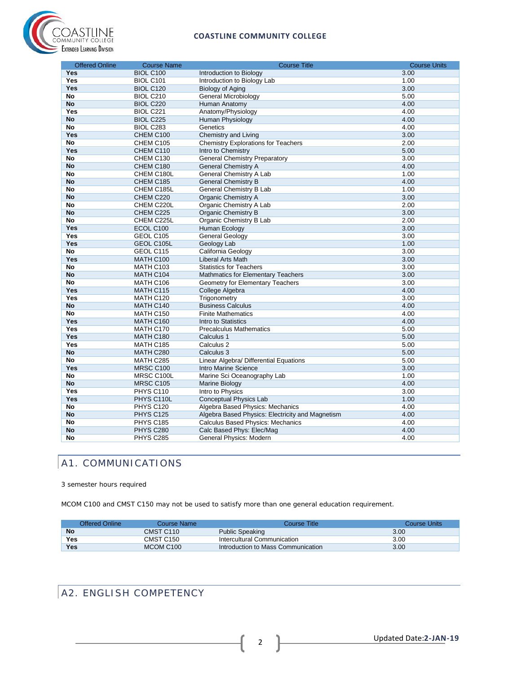



| <b>Offered Online</b> | <b>Course Name</b>     | <b>Course Title</b>                                                   | <b>Course Units</b> |
|-----------------------|------------------------|-----------------------------------------------------------------------|---------------------|
| <b>Yes</b>            | <b>BIOL C100</b>       | Introduction to Biology                                               | 3.00                |
| Yes                   | BIOL C101              | Introduction to Biology Lab                                           | 1.00                |
| Yes                   | <b>BIOL C120</b>       | <b>Biology of Aging</b>                                               | 3.00                |
| No                    | <b>BIOL C210</b>       | <b>General Microbiology</b>                                           | 5.00                |
| <b>No</b>             | <b>BIOL C220</b>       | Human Anatomy                                                         | 4.00                |
| Yes                   | BIOL C221              | Anatomy/Physiology                                                    | 4.00                |
| No                    | BIOL C225              | Human Physiology                                                      | 4.00                |
| No                    | BIOL C283              | Genetics                                                              | 4.00                |
| Yes                   | CHEM C100              | Chemistry and Living                                                  | 3.00                |
| <b>No</b>             | CHEM C105              | <b>Chemistry Explorations for Teachers</b>                            | 2.00                |
| Yes                   | CHEM C110              | Intro to Chemistry                                                    | 5.00                |
| <b>No</b>             | CHEM C130              | <b>General Chemistry Preparatory</b>                                  | 3.00                |
| <b>No</b>             | CHEM C180              | <b>General Chemistry A</b>                                            | 4.00                |
| No                    | CHEM C180L             | General Chemistry A Lab                                               | 1.00                |
| <b>No</b>             | CHEM C185              | <b>General Chemistry B</b>                                            | 4.00                |
| <b>No</b>             | CHEM C185L             | General Chemistry B Lab                                               | 1.00                |
| <b>No</b>             | CHEM C220              | <b>Organic Chemistry A</b>                                            | 3.00                |
| <b>No</b>             | CHEM C220L             | Organic Chemistry A Lab                                               | 2.00                |
| No                    | CHEM C225              | Organic Chemistry B                                                   | 3.00                |
| <b>No</b>             | CHEM C225L             | Organic Chemistry B Lab                                               | 2.00                |
| <b>Yes</b>            | ECOL C100              | <b>Human Ecology</b>                                                  | 3.00                |
| <b>Yes</b>            | GEOL C105              | <b>General Geology</b>                                                | 3.00                |
| Yes                   | GEOL C105L             | Geology Lab                                                           | 1.00                |
| <b>No</b>             | GEOL C115              | California Geology                                                    | 3.00                |
| Yes                   | MATH C100              | <b>Liberal Arts Math</b>                                              | 3.00                |
| No                    | <b>MATH C103</b>       | <b>Statistics for Teachers</b>                                        | 3.00                |
| No                    | MATH C104              | <b>Mathmatics for Elementary Teachers</b>                             | 3.00                |
| <b>No</b>             | MATH C106              | <b>Geometry for Elementary Teachers</b>                               | 3.00                |
| Yes                   | MATH C115              | College Algebra                                                       | 4.00                |
| Yes                   | MATH C120              | Trigonometry                                                          | 3.00                |
| No                    | MATH C140              | <b>Business Calculus</b>                                              | 4.00                |
| No                    | MATH C150              | <b>Finite Mathematics</b>                                             | 4.00                |
| Yes                   | <b>MATH C160</b>       | Intro to Statistics                                                   | 4.00                |
| Yes                   | MATH C170              | <b>Precalculus Mathematics</b>                                        | 5.00                |
| Yes                   | MATH C180              | Calculus 1                                                            | 5.00                |
| Yes                   | MATH C185              | Calculus <sub>2</sub>                                                 | 5.00                |
| No                    | MATH C280              | Calculus 3                                                            | 5.00                |
| No                    | MATH C285              | Linear Algebra/ Differential Equations                                | 5.00                |
| Yes                   | <b>MRSC C100</b>       | Intro Marine Science                                                  | 3.00                |
| No                    | MRSC C100L             | Marine Sci Oceanography Lab                                           | 1.00                |
| <b>No</b>             | <b>MRSC C105</b>       | Marine Biology                                                        | 4.00                |
| Yes                   | PHYS C110              | Intro to Physics                                                      | 3.00                |
| Yes                   | PHYS C110L             | Conceptual Physics Lab                                                | 1.00                |
| No<br>No              | PHYS C120              | Algebra Based Physics: Mechanics                                      | 4.00                |
| <b>No</b>             | PHYS C125              | Algebra Based Physics: Electricity and Magnetism                      | 4.00<br>4.00        |
| <b>No</b>             | PHYS C185<br>PHYS C280 | <b>Calculus Based Physics: Mechanics</b><br>Calc Based Phys: Elec/Mag | 4.00                |
| No                    |                        |                                                                       |                     |
|                       | PHYS C285              | General Physics: Modern                                               | 4.00                |

## A1. COMMUNICATIONS

#### 3 semester hours required

MCOM C100 and CMST C150 may not be used to satisfy more than one general education requirement.

| Offered Online | Course Name           | Course Title                       | Course Units |
|----------------|-----------------------|------------------------------------|--------------|
| <b>No</b>      | CMST C110             | <b>Public Speaking</b>             | 3.00         |
| <b>Yes</b>     | CMST C150             | Intercultural Communication        | 3.00         |
| Yes            | MCOM C <sub>100</sub> | Introduction to Mass Communication | 3.00         |

# A2. ENGLISH COMPETENCY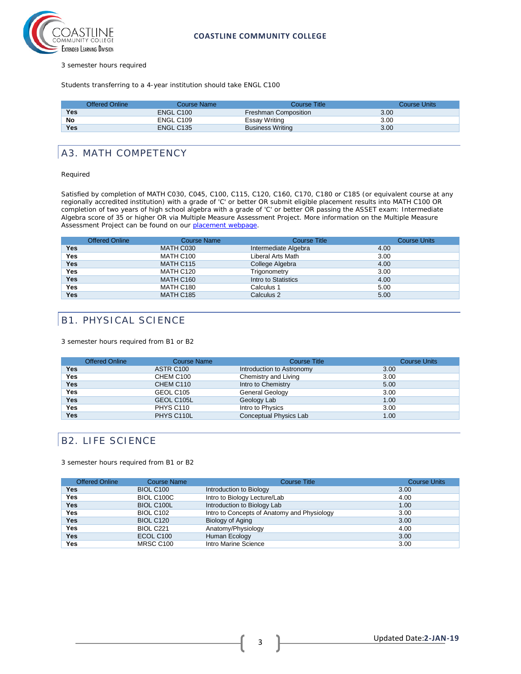

3 semester hours required

Students transferring to a 4-year institution should take ENGL C100

|            | <b>Offered Online</b> | Course Name           | Course Title            | Course Units |
|------------|-----------------------|-----------------------|-------------------------|--------------|
| Yes        |                       | ENGL C <sub>100</sub> | Freshman Composition    | 3.00         |
| No         |                       | ENGL C <sub>109</sub> | Essay Writing           | 3.00         |
| <b>Yes</b> |                       | ENGL C <sub>135</sub> | <b>Business Writing</b> | 3.00         |

#### A3. MATH COMPETENCY

#### Required

Satisfied by completion of MATH C030, C045, C100, C115, C120, C160, C170, C180 or C185 (or equivalent course at any regionally accredited institution) with a grade of 'C' or better OR submit eligible placement results into MATH C100 OR completion of two years of high school algebra with a grade of 'C' or better OR passing the ASSET exam: Intermediate Algebra score of 35 or higher OR via Multiple Measure Assessment Project. More information on the Multiple Measure Assessment Project can be found on our [placement webpage.](http://military.coastline.edu/active-duty/page.cfm?LinkID=1446)

|            | <b>Offered Online</b> | <b>Course Name</b> | <b>Course Title</b>  | <b>Course Units</b> |
|------------|-----------------------|--------------------|----------------------|---------------------|
| Yes        |                       | MATH C030          | Intermediate Algebra | 4.00                |
| Yes        |                       | MATH C100          | Liberal Arts Math    | 3.00                |
| <b>Yes</b> |                       | MATH C115          | College Algebra      | 4.00                |
| Yes        |                       | MATH C120          | Trigonometry         | 3.00                |
| <b>Yes</b> |                       | MATH C160          | Intro to Statistics  | 4.00                |
| Yes        |                       | MATH C180          | Calculus 1           | 5.00                |
| <b>Yes</b> |                       | <b>MATH C185</b>   | Calculus 2           | 5.00                |

#### B1. PHYSICAL SCIENCE

3 semester hours required from B1 or B2

|            | <b>Offered Online</b> | <b>Course Name</b> | <b>Course Title</b>       | <b>Course Units</b> |
|------------|-----------------------|--------------------|---------------------------|---------------------|
| Yes        |                       | ASTR C100          | Introduction to Astronomy | 3.00                |
| Yes        |                       | CHEM C100          | Chemistry and Living      | 3.00                |
| <b>Yes</b> |                       | CHEM C110          | Intro to Chemistry        | 5.00                |
| Yes        |                       | GEOL C105          | General Geology           | 3.00                |
| <b>Yes</b> |                       | GEOL C105L         | Geology Lab               | 1.00                |
| <b>Yes</b> |                       | PHYS C110          | Intro to Physics          | 3.00                |
| Yes        |                       | PHYS C110L         | Conceptual Physics Lab    | 1.00                |

#### B2. LIFE SCIENCE

3 semester hours required from B1 or B2

| <b>Offered Online</b> | <b>Course Name</b> | <b>Course Title</b>                         | <b>Course Units</b> |
|-----------------------|--------------------|---------------------------------------------|---------------------|
| Yes                   | <b>BIOL C100</b>   | Introduction to Biology                     | 3.00                |
| Yes                   | BIOL C100C         | Intro to Biology Lecture/Lab                | 4.00                |
| Yes                   | <b>BIOL C100L</b>  | Introduction to Biology Lab                 | 1.00                |
| Yes                   | <b>BIOL C102</b>   | Intro to Concepts of Anatomy and Physiology | 3.00                |
| Yes                   | <b>BIOL C120</b>   | Biology of Aging                            | 3.00                |
| Yes                   | BIOL C221          | Anatomy/Physiology                          | 4.00                |
| Yes                   | ECOL C100          | Human Ecology                               | 3.00                |
| Yes                   | <b>MRSC C100</b>   | Intro Marine Science                        | 3.00                |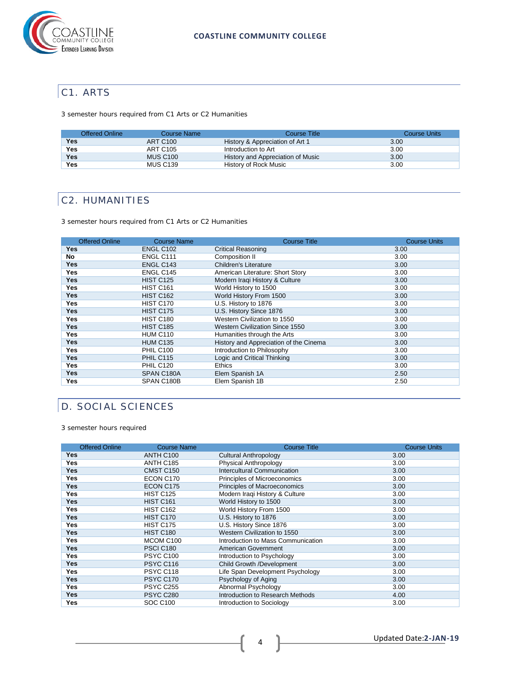

## C1. ARTS

3 semester hours required from C1 Arts or C2 Humanities

| <b>Offered Online</b> | Course Name     | Course Title                      | Course Units |
|-----------------------|-----------------|-----------------------------------|--------------|
| Yes                   | <b>ART C100</b> | History & Appreciation of Art 1   | 3.00         |
| Yes                   | ART C105        | Introduction to Art               | 3.00         |
| Yes                   | <b>MUS C100</b> | History and Appreciation of Music | 3.00         |
| Yes                   | <b>MUS C139</b> | History of Rock Music             | 3.00         |

## C2. HUMANITIES

3 semester hours required from C1 Arts or C2 Humanities

| <b>Offered Online</b> | <b>Course Name</b> | <b>Course Title</b>                    | <b>Course Units</b> |
|-----------------------|--------------------|----------------------------------------|---------------------|
| Yes                   | <b>ENGL C102</b>   | <b>Critical Reasoning</b>              | 3.00                |
| No                    | ENGL C111          | Composition II                         | 3.00                |
| <b>Yes</b>            | ENGL C143          | <b>Children's Literature</b>           | 3.00                |
| <b>Yes</b>            | ENGL C145          | American Literature: Short Story       | 3.00                |
| <b>Yes</b>            | <b>HIST C125</b>   | Modern Iraqi History & Culture         | 3.00                |
| <b>Yes</b>            | <b>HIST C161</b>   | World History to 1500                  | 3.00                |
| <b>Yes</b>            | <b>HIST C162</b>   | World History From 1500                | 3.00                |
| <b>Yes</b>            | HIST C170          | U.S. History to 1876                   | 3.00                |
| <b>Yes</b>            | <b>HIST C175</b>   | U.S. History Since 1876                | 3.00                |
| <b>Yes</b>            | <b>HIST C180</b>   | Western Civilization to 1550           | 3.00                |
| <b>Yes</b>            | <b>HIST C185</b>   | <b>Western Civilization Since 1550</b> | 3.00                |
| <b>Yes</b>            | <b>HUM C110</b>    | Humanities through the Arts            | 3.00                |
| <b>Yes</b>            | <b>HUM C135</b>    | History and Appreciation of the Cinema | 3.00                |
| <b>Yes</b>            | <b>PHIL C100</b>   | Introduction to Philosophy             | 3.00                |
| <b>Yes</b>            | <b>PHIL C115</b>   | Logic and Critical Thinking            | 3.00                |
| <b>Yes</b>            | PHIL C120          | <b>Ethics</b>                          | 3.00                |
| <b>Yes</b>            | SPAN C180A         | Elem Spanish 1A                        | 2.50                |
| Yes                   | SPAN C180B         | Elem Spanish 1B                        | 2.50                |

## D. SOCIAL SCIENCES

3 semester hours required

| <b>Offered Online</b> | <b>Course Name</b> | <b>Course Title</b>                | <b>Course Units</b> |
|-----------------------|--------------------|------------------------------------|---------------------|
| Yes                   | ANTH C100          | <b>Cultural Anthropology</b>       | 3.00                |
| Yes                   | ANTH C185          | Physical Anthropology              | 3.00                |
| <b>Yes</b>            | CMST C150          | Intercultural Communication        | 3.00                |
| Yes                   | ECON C170          | Principles of Microeconomics       | 3.00                |
| <b>Yes</b>            | ECON C175          | Principles of Macroeconomics       | 3.00                |
| Yes                   | <b>HIST C125</b>   | Modern Iraqi History & Culture     | 3.00                |
| <b>Yes</b>            | <b>HIST C161</b>   | World History to 1500              | 3.00                |
| Yes                   | <b>HIST C162</b>   | World History From 1500            | 3.00                |
| <b>Yes</b>            | HIST C170          | U.S. History to 1876               | 3.00                |
| <b>Yes</b>            | HIST C175          | U.S. History Since 1876            | 3.00                |
| <b>Yes</b>            | <b>HIST C180</b>   | Western Civilization to 1550       | 3.00                |
| <b>Yes</b>            | MCOM C100          | Introduction to Mass Communication | 3.00                |
| <b>Yes</b>            | <b>PSCI C180</b>   | American Government                | 3.00                |
| <b>Yes</b>            | <b>PSYC C100</b>   | Introduction to Psychology         | 3.00                |
| <b>Yes</b>            | <b>PSYC C116</b>   | Child Growth /Development          | 3.00                |
| <b>Yes</b>            | PSYC C118          | Life Span Development Psychology   | 3.00                |
| <b>Yes</b>            | <b>PSYC C170</b>   | Psychology of Aging                | 3.00                |
| <b>Yes</b>            | <b>PSYC C255</b>   | Abnormal Psychology                | 3.00                |
| <b>Yes</b>            | <b>PSYC C280</b>   | Introduction to Research Methods   | 4.00                |
| Yes                   | <b>SOC C100</b>    | Introduction to Sociology          | 3.00                |